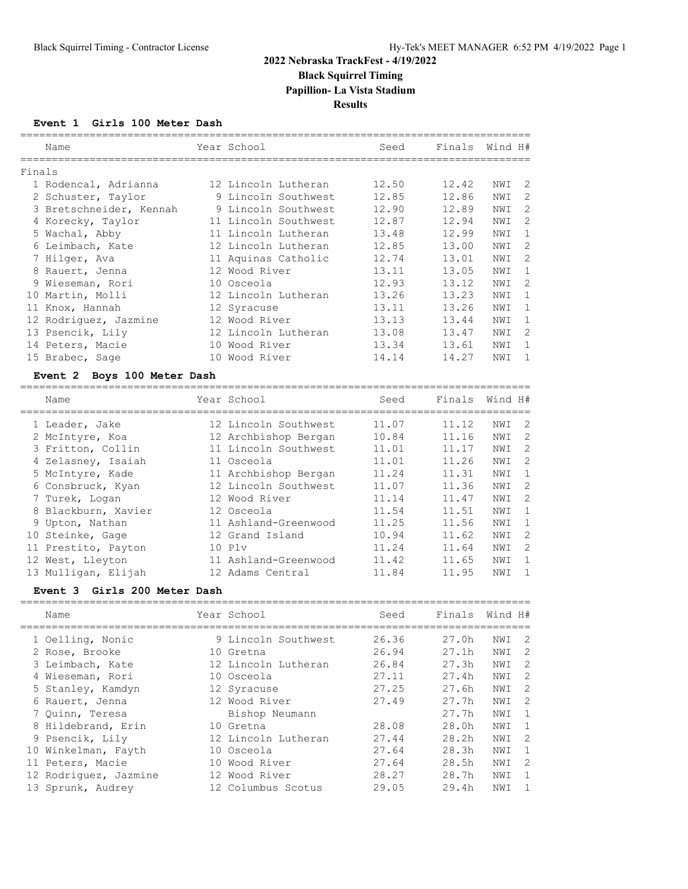## **2022 Nebraska TrackFest - 4/19/2022 Black Squirrel Timing Papillion- La Vista Stadium**

**Results**

#### **Event 1 Girls 100 Meter Dash**

|        | Name                    | Year School          | Seed  | Finals | Wind H#   |              |
|--------|-------------------------|----------------------|-------|--------|-----------|--------------|
| Finals |                         |                      |       |        |           |              |
|        | 1 Rodencal, Adrianna    | 12 Lincoln Lutheran  | 12.50 | 12.42  | -2<br>NWI |              |
|        | 2 Schuster, Taylor      | 9 Lincoln Southwest  | 12.85 | 12.86  | NWI       | 2            |
|        | 3 Bretschneider, Kennah | 9 Lincoln Southwest  | 12.90 | 12.89  | NWI       | 2            |
|        | 4 Korecky, Taylor       | 11 Lincoln Southwest | 12.87 | 12.94  | NWI       | 2            |
|        | 5 Wachal, Abby          | 11 Lincoln Lutheran  | 13.48 | 12.99  | NWI       | $\mathbf{1}$ |
|        | 6 Leimbach, Kate        | 12 Lincoln Lutheran  | 12.85 | 13.00  | NWI       | 2            |
|        | 7 Hilger, Ava           | 11 Aquinas Catholic  | 12.74 | 13.01  | NWI       | 2            |
|        | 8 Rauert, Jenna         | 12 Wood River        | 13.11 | 13.05  | NWI       | $\mathbf{1}$ |
|        | 9 Wieseman, Rori        | 10 Osceola           | 12.93 | 13.12  | NWI       | 2            |
|        | 10 Martin, Molli        | 12 Lincoln Lutheran  | 13.26 | 13.23  | NWI<br>1  |              |
|        | 11 Knox, Hannah         | 12 Syracuse          | 13.11 | 13.26  | NWI       | 1            |
|        | 12 Rodriquez, Jazmine   | 12 Wood River        | 13.13 | 13.44  | NWI       | $\mathbf{1}$ |
|        | 13 Psencik, Lily        | 12 Lincoln Lutheran  | 13.08 | 13.47  | NWI       | 2            |
|        | 14 Peters, Macie        | 10 Wood River        | 13.34 | 13.61  | NWI       | $\mathbf{1}$ |
|        | 15 Brabec, Sage         | 10 Wood River        | 14.14 | 14.27  | NWI       | 1            |
|        |                         |                      |       |        |           |              |

### **Event 2 Boys 100 Meter Dash**

| Name |                                                                                                                                                                                                                                                                         | Seed                                                                                                                                                                                                                                                                             | Finals | Wind H# |                            |
|------|-------------------------------------------------------------------------------------------------------------------------------------------------------------------------------------------------------------------------------------------------------------------------|----------------------------------------------------------------------------------------------------------------------------------------------------------------------------------------------------------------------------------------------------------------------------------|--------|---------|----------------------------|
|      |                                                                                                                                                                                                                                                                         | 11.07                                                                                                                                                                                                                                                                            | 11.12  | NWI     | $\overline{\phantom{0}}^2$ |
|      |                                                                                                                                                                                                                                                                         | 10.84                                                                                                                                                                                                                                                                            | 11.16  | NWI     | $\overline{2}$             |
|      |                                                                                                                                                                                                                                                                         | 11.01                                                                                                                                                                                                                                                                            | 11.17  | NWI     | - 2                        |
|      |                                                                                                                                                                                                                                                                         | 11.01                                                                                                                                                                                                                                                                            | 11.26  | NWI     | - 2                        |
|      |                                                                                                                                                                                                                                                                         | 11.24                                                                                                                                                                                                                                                                            | 11.31  | NWI     | $\overline{1}$             |
|      |                                                                                                                                                                                                                                                                         | 11.07                                                                                                                                                                                                                                                                            | 11.36  | NWI     | $\overline{\phantom{0}}$   |
|      |                                                                                                                                                                                                                                                                         | 11.14                                                                                                                                                                                                                                                                            | 11.47  | NWI     | -2                         |
|      |                                                                                                                                                                                                                                                                         | 11.54                                                                                                                                                                                                                                                                            | 11.51  | NWI     | - 1                        |
|      |                                                                                                                                                                                                                                                                         | 11.25                                                                                                                                                                                                                                                                            | 11.56  | NWI     | $\overline{1}$             |
|      |                                                                                                                                                                                                                                                                         | 10.94                                                                                                                                                                                                                                                                            | 11.62  | NWI     | -2                         |
|      |                                                                                                                                                                                                                                                                         | 11.24                                                                                                                                                                                                                                                                            | 11.64  | NWI     | - 2                        |
|      |                                                                                                                                                                                                                                                                         | 11.42                                                                                                                                                                                                                                                                            | 11.65  | NWI     | -1                         |
|      |                                                                                                                                                                                                                                                                         | 11.84                                                                                                                                                                                                                                                                            | 11.95  | NWI     |                            |
|      | 1 Leader, Jake<br>2 McIntyre, Koa<br>3 Fritton, Collin<br>4 Zelasney, Isaiah<br>5 McIntyre, Kade<br>6 Consbruck, Kyan<br>7 Turek, Logan<br>8 Blackburn, Xavier<br>9 Upton, Nathan<br>10 Steinke, Gage<br>11 Prestito, Payton<br>12 West, Lleyton<br>13 Mulligan, Elijah | Year School<br>12 Lincoln Southwest<br>12 Archbishop Bergan<br>11 Lincoln Southwest<br>11 Osceola<br>11 Archbishop Bergan<br>12 Lincoln Southwest<br>12 Wood River<br>12 Osceola<br>11 Ashland-Greenwood<br>12 Grand Island<br>10P1v<br>11 Ashland-Greenwood<br>12 Adams Central |        |         |                            |

#### **Event 3 Girls 200 Meter Dash**

| Name                  | Year School         | Seed  | Finals            | Wind H# |                            |
|-----------------------|---------------------|-------|-------------------|---------|----------------------------|
| 1 Oelling, Nonic      | 9 Lincoln Southwest | 26.36 | 27.0 <sub>h</sub> | NWI     | $\overline{\phantom{0}}^2$ |
| 2 Rose, Brooke        | 10 Gretna           | 26.94 | 27.1h             | NWI     | - 2                        |
| 3 Leimbach, Kate      | 12 Lincoln Lutheran | 26.84 | 27.3h             | NWI     | - 2                        |
| 4 Wieseman, Rori      | 10 Osceola          | 27.11 | 27.4h             | NWI     | $\overline{\phantom{0}}^2$ |
| 5 Stanley, Kamdyn     | 12 Syracuse         | 27.25 | 27.6h             | NWI     | - 2                        |
| 6 Rauert, Jenna       | 12 Wood River       | 27.49 | 27.7h             | NWI     | - 2                        |
| 7 Ouinn, Teresa       | Bishop Neumann      |       | 27.7 <sub>h</sub> | NWI     | $\overline{1}$             |
| 8 Hildebrand, Erin    | 10 Gretna           | 28.08 | 28.0h             | NWI     | - 1                        |
| 9 Psencik, Lily       | 12 Lincoln Lutheran | 27.44 | 28.2h             | NWI     | - 2                        |
| 10 Winkelman, Fayth   | 10 Osceola          | 27.64 | 28.3h             | NWI     | $\overline{1}$             |
| 11 Peters, Macie      | 10 Wood River       | 27.64 | 28.5h             | NWI     | - 2                        |
| 12 Rodriquez, Jazmine | 12 Wood River       | 28.27 | 28.7h             | NWI     | -1                         |
| 13 Sprunk, Audrey     | 12 Columbus Scotus  | 29.05 | 29.4h             | NWI     | $\overline{1}$             |
|                       |                     |       |                   |         |                            |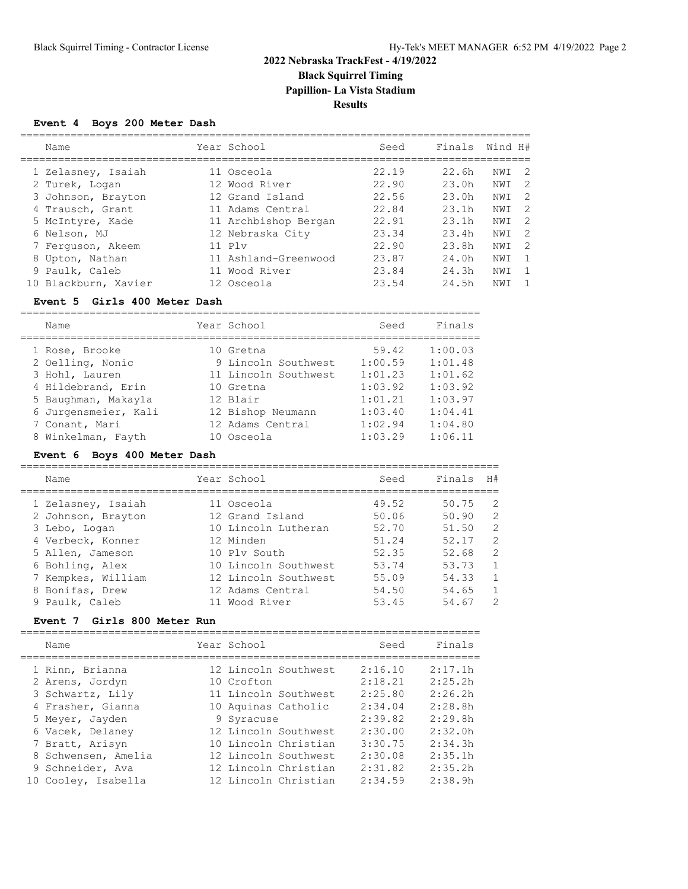## **2022 Nebraska TrackFest - 4/19/2022 Black Squirrel Timing Papillion- La Vista Stadium Results**

### **Event 4 Boys 200 Meter Dash**

| Name                 | Year School          | Seed  | Finals            | Wind H# |                |
|----------------------|----------------------|-------|-------------------|---------|----------------|
| 1 Zelasney, Isaiah   | 11 Osceola           | 22.19 | 22.6 <sub>h</sub> | NWI     | $\overline{2}$ |
| 2 Turek, Logan       | 12 Wood River        | 22.90 | 23.0h             | NWI     | $\overline{2}$ |
| 3 Johnson, Brayton   | 12 Grand Island      | 22.56 | 23.0h             | NWI     | - 2            |
| 4 Trausch, Grant     | 11 Adams Central     | 22.84 | 23.1h             | NWI     | $\overline{2}$ |
| 5 McIntyre, Kade     | 11 Archbishop Bergan | 22.91 | 23.1h             | NWI     | $\overline{2}$ |
| 6 Nelson, MJ         | 12 Nebraska City     | 23.34 | 23.4h             | NWI     | $\overline{2}$ |
| 7 Ferguson, Akeem    | $11$ $P1v$           | 22.90 | 23.8h             | NWI     | - 2            |
| 8 Upton, Nathan      | 11 Ashland-Greenwood | 23.87 | 24.0 <sub>h</sub> | NWI     | $\overline{1}$ |
| 9 Paulk, Caleb       | 11 Wood River        | 23.84 | 24.3h             | NWI     | $\mathbf{1}$   |
| 10 Blackburn, Xavier | 12 Osceola           | 23.54 | 24.5 <sub>h</sub> | NWI     |                |
|                      |                      |       |                   |         |                |

#### **Event 5 Girls 400 Meter Dash**

| Name                 | Year School          | Seed    | Finals  |
|----------------------|----------------------|---------|---------|
| 1 Rose, Brooke       | 10 Gretna            | 59.42   | 1:00.03 |
| 2 Oelling, Nonic     | 9 Lincoln Southwest  | 1:00.59 | 1:01.48 |
| 3 Hohl, Lauren       | 11 Lincoln Southwest | 1:01.23 | 1:01.62 |
| 4 Hildebrand, Erin   | 10 Gretna            | 1:03.92 | 1:03.92 |
| 5 Baughman, Makayla  | 12 Blair             | 1:01.21 | 1:03.97 |
| 6 Jurgensmeier, Kali | 12 Bishop Neumann    | 1:03.40 | 1:04.41 |
| 7 Conant, Mari       | 12 Adams Central     | 1:02.94 | 1:04.80 |
| 8 Winkelman, Fayth   | 10 Osceola           | 1:03.29 | 1:06.11 |

### **Event 6 Boys 400 Meter Dash**

| Name               | Year School          | Seed  | Finals | H#             |
|--------------------|----------------------|-------|--------|----------------|
| 1 Zelasney, Isaiah | 11 Osceola           | 49.52 | 50.75  | $\overline{2}$ |
| 2 Johnson, Brayton | 12 Grand Island      | 50.06 | 50.90  | 2              |
| 3 Lebo, Logan      | 10 Lincoln Lutheran  | 52.70 | 51.50  | 2              |
| 4 Verbeck, Konner  | 12 Minden            | 51.24 | 52.17  | $\overline{2}$ |
| 5 Allen, Jameson   | 10 Plv South         | 52.35 | 52.68  | 2              |
| 6 Bohling, Alex    | 10 Lincoln Southwest | 53.74 | 53.73  | $\mathbf{1}$   |
| 7 Kempkes, William | 12 Lincoln Southwest | 55.09 | 54.33  | 1              |
| 8 Bonifas, Drew    | 12 Adams Central     | 54.50 | 54.65  | 1              |
| 9 Paulk, Caleb     | 11 Wood River        | 53.45 | 54.67  | 2              |

### **Event 7 Girls 800 Meter Run**

| Name                               | Year School |                      | Seed               | Finals             |
|------------------------------------|-------------|----------------------|--------------------|--------------------|
| 1 Rinn, Brianna<br>2 Arens, Jordyn | 10 Crofton  | 12 Lincoln Southwest | 2:16.10<br>2:18.21 | 2:17.1h<br>2:25.2h |
| 3 Schwartz, Lily                   |             | 11 Lincoln Southwest | 2:25.80            | 2:26.2h            |
| 4 Frasher, Gianna                  |             | 10 Aquinas Catholic  | 2:34.04            | 2:28.8h            |
| 5 Meyer, Jayden                    | 9 Syracuse  |                      | 2:39.82            | 2:29.8h            |
| 6 Vacek, Delaney                   |             | 12 Lincoln Southwest | 2:30.00            | 2:32.0h            |
| 7 Bratt, Arisyn                    |             | 10 Lincoln Christian | 3:30.75            | 2:34.3h            |
| 8 Schwensen, Amelia                |             | 12 Lincoln Southwest | 2:30.08            | 2:35.1h            |
| 9 Schneider, Ava                   |             | 12 Lincoln Christian | 2:31.82            | 2:35.2h            |
| 10 Cooley, Isabella                |             | 12 Lincoln Christian | 2:34.59            | 2:38.9h            |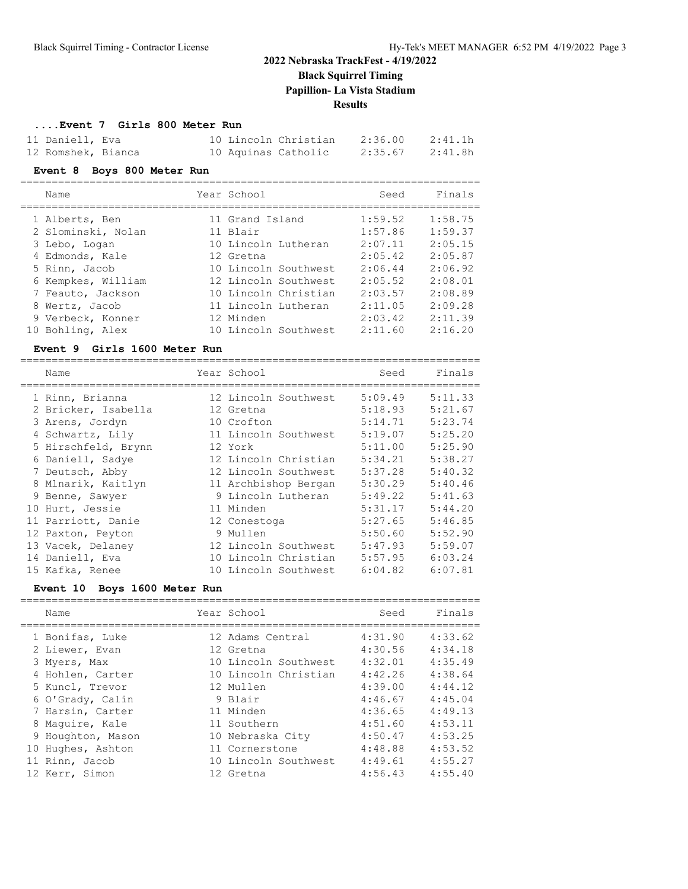**Black Squirrel Timing**

**Papillion- La Vista Stadium**

**Results**

#### **....Event 7 Girls 800 Meter Run**

| 11 Daniell, Eva    |  | 10 Lincoln Christian | 2:36.00 | 2:41.1h |
|--------------------|--|----------------------|---------|---------|
| 12 Romshek, Bianca |  | 10 Aquinas Catholic  | 2:35.67 | 2:41.8h |

#### **Event 8 Boys 800 Meter Run**

| EVENC 8 BOYS 600 MECEL RUIL |                      |         |         |
|-----------------------------|----------------------|---------|---------|
| Name                        | Year School          | Seed    | Finals  |
| 1 Alberts, Ben              | 11 Grand Island      | 1:59.52 | 1:58.75 |
| 2 Slominski, Nolan          | 11 Blair             | 1:57.86 | 1:59.37 |
| 3 Lebo, Logan               | 10 Lincoln Lutheran  | 2:07.11 | 2:05.15 |
| 4 Edmonds, Kale             | 12 Gretna            | 2:05.42 | 2:05.87 |
| 5 Rinn, Jacob               | 10 Lincoln Southwest | 2:06.44 | 2:06.92 |
| 6 Kempkes, William          | 12 Lincoln Southwest | 2:05.52 | 2:08.01 |
| 7 Feauto, Jackson           | 10 Lincoln Christian | 2:03.57 | 2:08.89 |
| 8 Wertz, Jacob              | 11 Lincoln Lutheran  | 2:11.05 | 2:09.28 |
| 9 Verbeck, Konner           | 12 Minden            | 2:03.42 | 2:11.39 |
| 10 Bohling, Alex            | 10 Lincoln Southwest | 2:11.60 | 2:16.20 |

#### **Event 9 Girls 1600 Meter Run**

| Name                | Year School          | Seed    | Finals  |
|---------------------|----------------------|---------|---------|
| 1 Rinn, Brianna     | 12 Lincoln Southwest | 5:09.49 | 5:11.33 |
| 2 Bricker, Isabella | 12 Gretna            | 5:18.93 | 5:21.67 |
| 3 Arens, Jordyn     | 10 Crofton           | 5:14.71 | 5:23.74 |
| 4 Schwartz, Lily    | 11 Lincoln Southwest | 5:19.07 | 5:25.20 |
| 5 Hirschfeld, Brynn | 12 York              | 5:11.00 | 5:25.90 |
| 6 Daniell, Sadye    | 12 Lincoln Christian | 5:34.21 | 5:38.27 |
| 7 Deutsch, Abby     | 12 Lincoln Southwest | 5:37.28 | 5:40.32 |
| 8 Mlnarik, Kaitlyn  | 11 Archbishop Bergan | 5:30.29 | 5:40.46 |
| 9 Benne, Sawyer     | 9 Lincoln Lutheran   | 5:49.22 | 5:41.63 |
| 10 Hurt, Jessie     | 11 Minden            | 5:31.17 | 5:44.20 |
| 11 Parriott, Danie  | 12 Conestoga         | 5:27.65 | 5:46.85 |
| 12 Paxton, Peyton   | 9 Mullen             | 5:50.60 | 5:52.90 |
| 13 Vacek, Delaney   | 12 Lincoln Southwest | 5:47.93 | 5:59.07 |
| 14 Daniell, Eva     | 10 Lincoln Christian | 5:57.95 | 6:03.24 |
| 15 Kafka, Renee     | 10 Lincoln Southwest | 6:04.82 | 6:07.81 |

### **Event 10 Boys 1600 Meter Run**

| Name              | Year School          | Seed    | Finals  |
|-------------------|----------------------|---------|---------|
| 1 Bonifas, Luke   | 12 Adams Central     | 4:31.90 | 4:33.62 |
| 2 Liewer, Evan    | 12 Gretna            | 4:30.56 | 4:34.18 |
| 3 Myers, Max      | 10 Lincoln Southwest | 4:32.01 | 4:35.49 |
| 4 Hohlen, Carter  | 10 Lincoln Christian | 4:42.26 | 4:38.64 |
| 5 Kuncl, Trevor   | 12 Mullen            | 4:39.00 | 4:44.12 |
| 6 O'Grady, Calin  | 9 Blair              | 4:46.67 | 4:45.04 |
| 7 Harsin, Carter  | 11 Minden            | 4:36.65 | 4:49.13 |
| 8 Maquire, Kale   | 11 Southern          | 4:51.60 | 4:53.11 |
| 9 Houghton, Mason | 10 Nebraska City     | 4:50.47 | 4:53.25 |
| 10 Hughes, Ashton | 11 Cornerstone       | 4:48.88 | 4:53.52 |
| 11 Rinn, Jacob    | 10 Lincoln Southwest | 4:49.61 | 4:55.27 |
| 12 Kerr, Simon    | 12 Gretna            | 4:56.43 | 4:55.40 |
|                   |                      |         |         |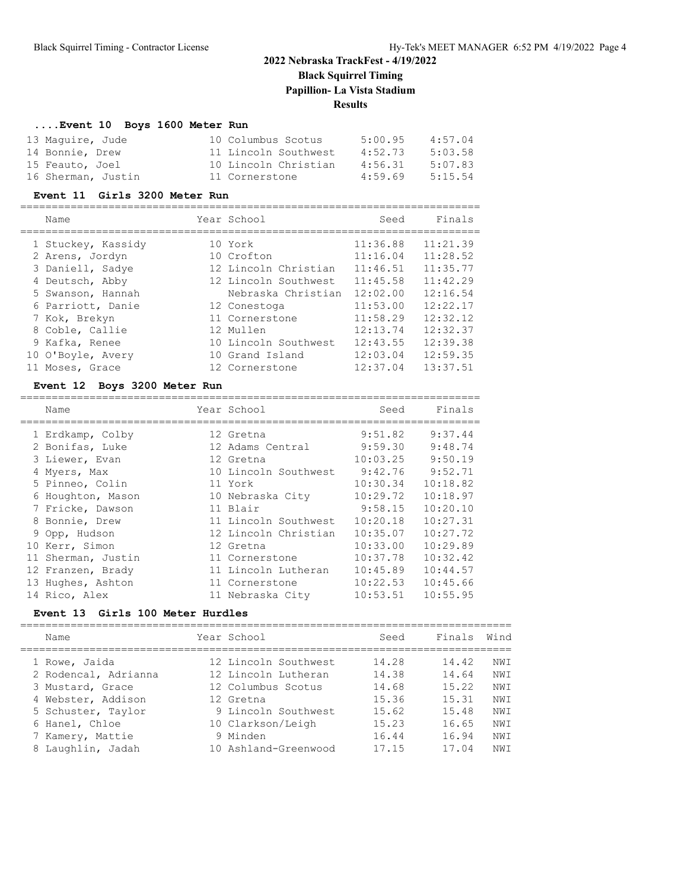## **2022 Nebraska TrackFest - 4/19/2022 Black Squirrel Timing Papillion- La Vista Stadium Results**

## **....Event 10 Boys 1600 Meter Run**

| 13 Maquire, Jude   | 10 Columbus Scotus   | 5:00.95 | 4:57.04 |
|--------------------|----------------------|---------|---------|
| 14 Bonnie, Drew    | 11 Lincoln Southwest | 4:52.73 | 5:03.58 |
| 15 Feauto, Joel    | 10 Lincoln Christian | 4:56.31 | 5:07.83 |
| 16 Sherman, Justin | 11 Cornerstone       | 4:59.69 | 5:15.54 |

### **Event 11 Girls 3200 Meter Run**

| Name               | Year School          | Seed     | Finals   |
|--------------------|----------------------|----------|----------|
| 1 Stuckey, Kassidy | 10 York              | 11:36.88 | 11:21.39 |
| 2 Arens, Jordyn    | 10 Crofton           | 11:16.04 | 11:28.52 |
| 3 Daniell, Sadye   | 12 Lincoln Christian | 11:46.51 | 11:35.77 |
| 4 Deutsch, Abby    | 12 Lincoln Southwest | 11:45.58 | 11:42.29 |
| 5 Swanson, Hannah  | Nebraska Christian   | 12:02.00 | 12:16.54 |
| 6 Parriott, Danie  | 12 Conestoga         | 11:53.00 | 12:22.17 |
| 7 Kok, Brekyn      | 11 Cornerstone       | 11:58.29 | 12:32.12 |
| 8 Coble, Callie    | 12 Mullen            | 12:13.74 | 12:32.37 |
| 9 Kafka, Renee     | 10 Lincoln Southwest | 12:43.55 | 12:39.38 |
| 10 O'Boyle, Avery  | 10 Grand Island      | 12:03.04 | 12:59.35 |
| 11 Moses, Grace    | 12 Cornerstone       | 12:37.04 | 13:37.51 |

### **Event 12 Boys 3200 Meter Run**

| Name               | Year School          | Seed     | Finals   |
|--------------------|----------------------|----------|----------|
| 1 Erdkamp, Colby   | 12 Gretna            | 9:51.82  | 9:37.44  |
| 2 Bonifas, Luke    | 12 Adams Central     | 9:59.30  | 9:48.74  |
| 3 Liewer, Evan     | 12 Gretna            | 10:03.25 | 9:50.19  |
| 4 Myers, Max       | 10 Lincoln Southwest | 9:42.76  | 9:52.71  |
| 5 Pinneo, Colin    | 11 York              | 10:30.34 | 10:18.82 |
| 6 Houghton, Mason  | 10 Nebraska City     | 10:29.72 | 10:18.97 |
| 7 Fricke, Dawson   | 11 Blair             | 9:58.15  | 10:20.10 |
| 8 Bonnie, Drew     | 11 Lincoln Southwest | 10:20.18 | 10:27.31 |
| 9 Opp, Hudson      | 12 Lincoln Christian | 10:35.07 | 10:27.72 |
| 10 Kerr, Simon     | 12 Gretna            | 10:33.00 | 10:29.89 |
| 11 Sherman, Justin | 11 Cornerstone       | 10:37.78 | 10:32.42 |
| 12 Franzen, Brady  | 11 Lincoln Lutheran  | 10:45.89 | 10:44.57 |
| 13 Hughes, Ashton  | 11 Cornerstone       | 10:22.53 | 10:45.66 |
| 14 Rico, Alex      | 11 Nebraska City     | 10:53.51 | 10:55.95 |

#### **Event 13 Girls 100 Meter Hurdles**

| Name |                                                                                                                                                                  | Seed                                                                                                                                                                          | Finals | Wind            |
|------|------------------------------------------------------------------------------------------------------------------------------------------------------------------|-------------------------------------------------------------------------------------------------------------------------------------------------------------------------------|--------|-----------------|
|      |                                                                                                                                                                  | 14.28                                                                                                                                                                         | 14.42  | NWI             |
|      |                                                                                                                                                                  | 14.38                                                                                                                                                                         | 14.64  | NW <sub>T</sub> |
|      |                                                                                                                                                                  | 14.68                                                                                                                                                                         | 15.22  | NW T            |
|      |                                                                                                                                                                  | 15.36                                                                                                                                                                         | 15.31  | NW T            |
|      |                                                                                                                                                                  | 15.62                                                                                                                                                                         | 15.48  | NW <sub>T</sub> |
|      |                                                                                                                                                                  | 15.23                                                                                                                                                                         | 16.65  | NW <sub>T</sub> |
|      |                                                                                                                                                                  | 16.44                                                                                                                                                                         | 16.94  | NW <sub>T</sub> |
|      |                                                                                                                                                                  | 17.15                                                                                                                                                                         | 17.04  | NW <sub>T</sub> |
|      | 1 Rowe, Jaida<br>2 Rodencal, Adrianna<br>3 Mustard, Grace<br>4 Webster, Addison<br>5 Schuster, Taylor<br>6 Hanel, Chloe<br>7 Kamery, Mattie<br>8 Laughlin, Jadah | Year School<br>12 Lincoln Southwest<br>12 Lincoln Lutheran<br>12 Columbus Scotus<br>12 Gretna<br>9 Lincoln Southwest<br>10 Clarkson/Leigh<br>9 Minden<br>10 Ashland-Greenwood |        |                 |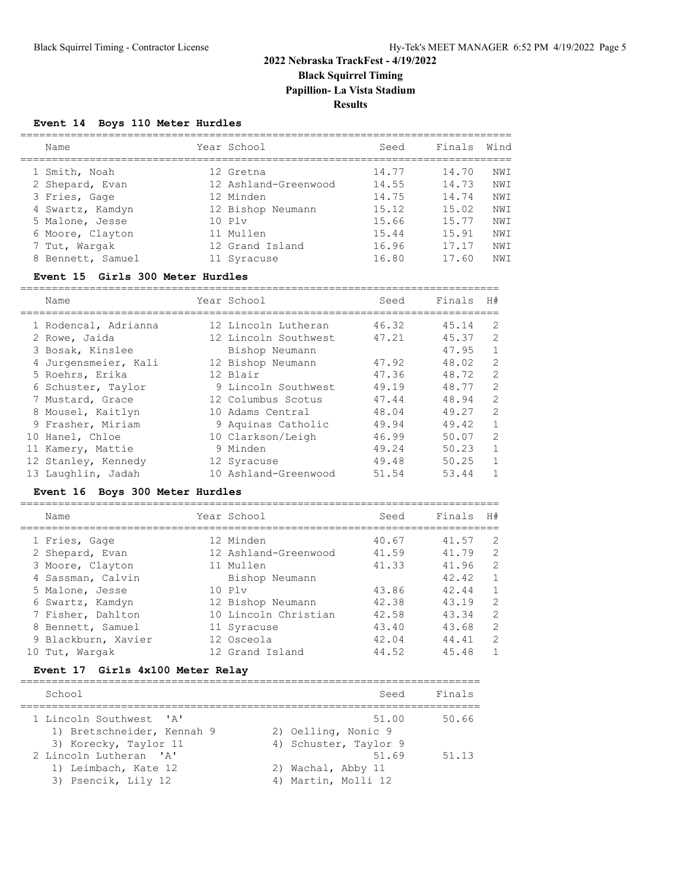# **2022 Nebraska TrackFest - 4/19/2022 Black Squirrel Timing Papillion- La Vista Stadium**

**Results**

### **Event 14 Boys 110 Meter Hurdles**

| Name              | Year School          | Seed  | Finals | Wind            |
|-------------------|----------------------|-------|--------|-----------------|
| 1 Smith, Noah     | 12 Gretna            | 14.77 | 14.70  | NW T            |
| 2 Shepard, Evan   | 12 Ashland-Greenwood | 14.55 | 14.73  | NW T            |
| 3 Fries, Gage     | 12 Minden            | 14.75 | 14.74  | NWI             |
| 4 Swartz, Kamdyn  | 12 Bishop Neumann    | 15.12 | 15.02  | NW T            |
| 5 Malone, Jesse   | 10 P1v               | 15.66 | 15.77  | NW T            |
| 6 Moore, Clayton  | 11 Mullen            | 15.44 | 15.91  | NWI             |
| 7 Tut, Wargak     | 12 Grand Island      | 16.96 | 17.17  | NW T            |
| 8 Bennett, Samuel | 11 Syracuse          | 16.80 | 17.60  | NW <sub>T</sub> |

#### **Event 15 Girls 300 Meter Hurdles**

| Name                 | Year School          | Seed  | Finals | H#           |
|----------------------|----------------------|-------|--------|--------------|
| 1 Rodencal, Adrianna | 12 Lincoln Lutheran  | 46.32 | 45.14  | 2            |
| 2 Rowe, Jaida        | 12 Lincoln Southwest | 47.21 | 45.37  | 2            |
| 3 Bosak, Kinslee     | Bishop Neumann       |       | 47.95  | $\mathbf{1}$ |
| 4 Jurgensmeier, Kali | 12 Bishop Neumann    | 47.92 | 48.02  | 2            |
| 5 Roehrs, Erika      | 12 Blair             | 47.36 | 48.72  | 2            |
| 6 Schuster, Taylor   | 9 Lincoln Southwest  | 49.19 | 48.77  | 2            |
| 7 Mustard, Grace     | 12 Columbus Scotus   | 47.44 | 48.94  | 2            |
| 8 Mousel, Kaitlyn    | 10 Adams Central     | 48.04 | 49.27  | 2            |
| 9 Frasher, Miriam    | 9 Aquinas Catholic   | 49.94 | 49.42  | $\mathbf{1}$ |
| 10 Hanel, Chloe      | 10 Clarkson/Leigh    | 46.99 | 50.07  | 2            |
| 11 Kamery, Mattie    | 9 Minden             | 49.24 | 50.23  | $\mathbf{1}$ |
| 12 Stanley, Kennedy  | 12 Syracuse          | 49.48 | 50.25  | $\mathbf{1}$ |
| 13 Laughlin, Jadah   | 10 Ashland-Greenwood | 51.54 | 53.44  |              |

# **Event 16 Boys 300 Meter Hurdles**

| Name                | Year School          | Seed  | Finals | H#             |
|---------------------|----------------------|-------|--------|----------------|
| 1 Fries, Gage       | 12 Minden            | 40.67 | 41.57  | 2              |
| 2 Shepard, Evan     | 12 Ashland-Greenwood | 41.59 | 41.79  | 2              |
| 3 Moore, Clayton    | 11 Mullen            | 41.33 | 41.96  | 2              |
| 4 Sassman, Calvin   | Bishop Neumann       |       | 42.42  | $\mathbf{1}$   |
| 5 Malone, Jesse     | $10$ $P1v$           | 43.86 | 42.44  | $\mathbf{1}$   |
| 6 Swartz, Kamdyn    | 12 Bishop Neumann    | 42.38 | 43.19  | $\overline{2}$ |
| 7 Fisher, Dahlton   | 10 Lincoln Christian | 42.58 | 43.34  | 2              |
| 8 Bennett, Samuel   | 11 Syracuse          | 43.40 | 43.68  | 2              |
| 9 Blackburn, Xavier | 12 Osceola           | 42.04 | 44.41  | 2              |
| 10 Tut, Wargak      | 12 Grand Island      | 44.52 | 45.48  | 1              |

#### **Event 17 Girls 4x100 Meter Relay**

| School                                                                         | Seed                                                  | Finals |
|--------------------------------------------------------------------------------|-------------------------------------------------------|--------|
| 1 Lincoln Southwest 'A'<br>1) Bretschneider, Kennah 9<br>3) Korecky, Taylor 11 | 51.00<br>2) Oelling, Nonic 9<br>4) Schuster, Taylor 9 | 50.66  |
| 2 Lincoln Lutheran 'A'<br>1) Leimbach, Kate 12<br>3) Psencik, Lily 12          | 51.69<br>2) Wachal, Abby 11<br>4) Martin, Molli 12    | 51.13  |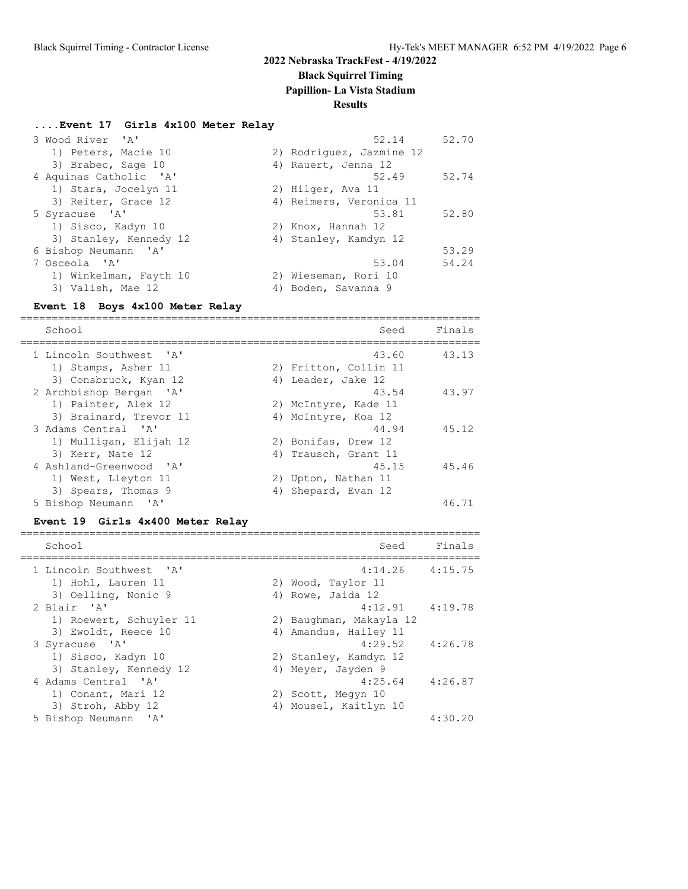**Black Squirrel Timing**

**Papillion- La Vista Stadium**

#### **Results**

#### **....Event 17 Girls 4x100 Meter Relay**

| 3 Wood River 'A'       | 52.14<br>52.70           |
|------------------------|--------------------------|
| 1) Peters, Macie 10    | 2) Rodriquez, Jazmine 12 |
| 3) Brabec, Sage 10     | 4) Rauert, Jenna 12      |
| 4 Aquinas Catholic 'A' | 52.49<br>52.74           |
| 1) Stara, Jocelyn 11   | 2) Hilger, Ava 11        |
| 3) Reiter, Grace 12    | 4) Reimers, Veronica 11  |
| 5 Syracuse 'A'         | 53.81<br>52.80           |
| 1) Sisco, Kadyn 10     | 2) Knox, Hannah 12       |
| 3) Stanley, Kennedy 12 | 4) Stanley, Kamdyn 12    |
| 6 Bishop Neumann 'A'   | 53.29                    |
| 7 Osceola 'A'          | 54.24<br>53.04           |
| 1) Winkelman, Fayth 10 | 2) Wieseman, Rori 10     |
| 3) Valish, Mae 12      | 4) Boden, Savanna 9      |

#### **Event 18 Boys 4x100 Meter Relay**

========================================================================= School School School School Seed Finals ========================================================================= 1 Lincoln Southwest 'A' 43.60 43.13 1) Stamps, Asher 11 2) Fritton, Collin 11 3) Consbruck, Kyan 12 (4) Leader, Jake 12 2 Archbishop Bergan 'A' 43.54 43.97 1) Painter, Alex 12 2) McIntyre, Kade 11 3) Brainard, Trevor 11 (4) McIntyre, Koa 12 3 Adams Central 'A' 16 and 19 and 19 and 19 and 19 and 19 and 19 and 19 and 19 and 19 and 19 and 19 and 19 and 1 1) Mulligan, Elijah 12 2) Bonifas, Drew 12 3) Kerr, Nate 12 (4) Trausch, Grant 11 4 Ashland-Greenwood 'A' 45.15 45.46 1) West, Lleyton 11 2) Upton, Nathan 11 3) Spears, Thomas 9 4) Shepard, Evan 12 5 Bishop Neumann 'A' 46.71

#### **Event 19 Girls 4x400 Meter Relay**

| School                                                               | Seed                                                           | Finals  |
|----------------------------------------------------------------------|----------------------------------------------------------------|---------|
| 1 Lincoln Southwest 'A'<br>1) Hohl, Lauren 11<br>3) Oelling, Nonic 9 | $4:14.26$ $4:15.75$<br>2) Wood, Taylor 11<br>4) Rowe, Jaida 12 |         |
| 2 Blair 'A'<br>1) Roewert, Schuyler 11                               | $4:12.91$ $4:19.78$<br>2) Baughman, Makayla 12                 |         |
| 3) Ewoldt, Reece 10<br>3 Syracuse 'A'                                | 4) Amandus, Hailey 11<br>$4:29.52$ $4:26.78$                   |         |
| 1) Sisco, Kadyn 10                                                   | 2) Stanley, Kamdyn 12                                          |         |
| 3) Stanley, Kennedy 12<br>4 Adams Central 'A'                        | 4) Meyer, Jayden 9<br>4:25.64                                  | 4:26.87 |
| 1) Conant, Mari 12<br>3) Stroh, Abby 12                              | 2) Scott, Megyn 10<br>4) Mousel, Kaitlyn 10                    |         |
| 5 Bishop Neumann<br>$\mathsf{A}$                                     |                                                                | 4:30.20 |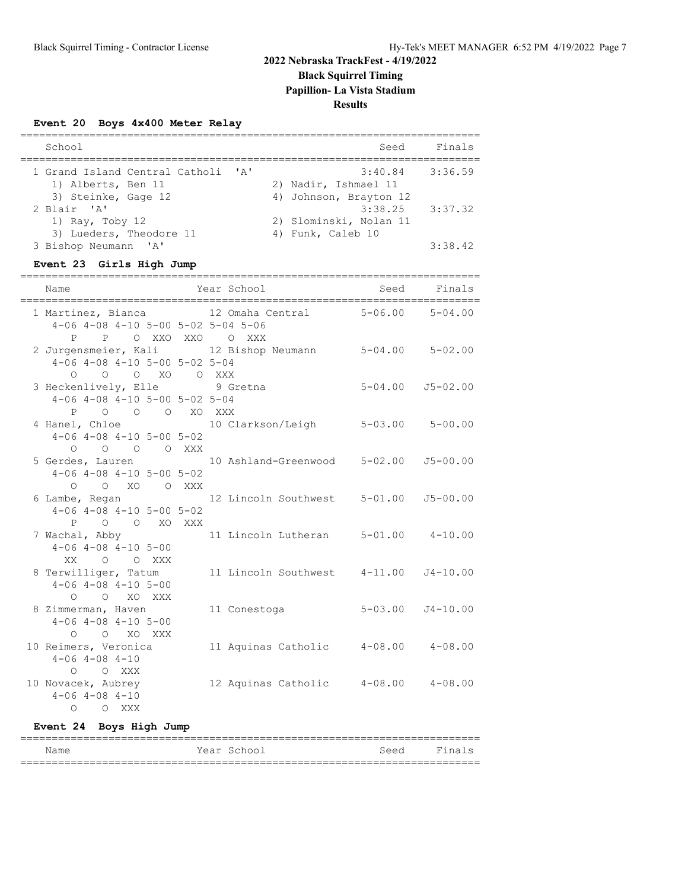## **2022 Nebraska TrackFest - 4/19/2022 Black Squirrel Timing**

**Papillion- La Vista Stadium**

# **Results**

### **Event 20 Boys 4x400 Meter Relay**

| School                                                             | Seed                                          | Finals  |
|--------------------------------------------------------------------|-----------------------------------------------|---------|
| 1 Grand Island Central Catholi 'A'<br>1) Alberts, Ben 11           | $3:40.84$ $3:36.59$<br>2) Nadir, Ishmael 11   |         |
| 3) Steinke, Gage 12<br>2 Blair 'A'                                 | 4) Johnson, Brayton 12<br>$3:38.25$ $3:37.32$ |         |
| 1) Ray, Toby 12<br>3) Lueders, Theodore 11<br>3 Bishop Neumann 'A' | 2) Slominski, Nolan 11<br>4) Funk, Caleb 10   | 3:38.42 |

### **Event 23 Girls High Jump**

| Name                                               | Year School                                            | Seed Finals         |                          |
|----------------------------------------------------|--------------------------------------------------------|---------------------|--------------------------|
| $4-06$ $4-08$ $4-10$ $5-00$ $5-02$ $5-04$ $5-06$   | 1 Martinez, Bianca 12 Omaha Central 5-06.00 5-04.00    |                     |                          |
| P O XXO XXO O XXX<br>P                             |                                                        |                     |                          |
|                                                    | 2 Jurgensmeier, Kali 12 Bishop Neumann 5-04.00 5-02.00 |                     |                          |
| $4-06$ $4-08$ $4-10$ $5-00$ $5-02$ $5-04$          |                                                        |                     |                          |
| 0 0 0 XO 0 XXX                                     |                                                        |                     |                          |
| 3 Heckenlively, Elle 9 Gretna                      |                                                        | 5-04.00 J5-02.00    |                          |
| $4-06$ $4-08$ $4-10$ $5-00$ $5-02$ $5-04$          |                                                        |                     |                          |
| P O O O XO XXX                                     |                                                        |                     |                          |
|                                                    | 4 Hanel, Chloe 10 Clarkson/Leigh                       |                     | $5 - 03.00$ $5 - 00.00$  |
| $4-06$ $4-08$ $4-10$ $5-00$ $5-02$                 |                                                        |                     |                          |
| O O O O XXX                                        |                                                        |                     |                          |
|                                                    | 5 Gerdes, Lauren 10 Ashland-Greenwood 5-02.00          |                     | $J5 - 00.00$             |
| $4-06$ $4-08$ $4-10$ $5-00$ $5-02$                 |                                                        |                     |                          |
| O O XO O XXX                                       |                                                        |                     |                          |
|                                                    | 6 Lambe, Regan 12 Lincoln Southwest 5-01.00 J5-00.00   |                     |                          |
| $4-06$ $4-08$ $4-10$ $5-00$ $5-02$                 |                                                        |                     |                          |
| P O O XO XXX                                       |                                                        |                     |                          |
|                                                    | 7 Wachal, Abby 11 Lincoln Lutheran 5-01.00 4-10.00     |                     |                          |
| $4-06$ $4-08$ $4-10$ $5-00$                        |                                                        |                     |                          |
| XX O O XXX                                         |                                                        |                     |                          |
| 8 Terwilliger, Tatum                               | 11 Lincoln Southwest  4-11.00  J4-10.00                |                     |                          |
| $4-06$ $4-08$ $4-10$ $5-00$                        |                                                        |                     |                          |
| O O XO XXX                                         |                                                        |                     |                          |
| 8 Zimmerman, Haven                                 | 11 Conestoga                                           |                     | $5 - 03.00$ $J4 - 10.00$ |
| $4-06$ $4-08$ $4-10$ $5-00$                        |                                                        |                     |                          |
| $O$ $O$ $XO$ $XXX$                                 |                                                        |                     |                          |
| 10 Reimers, Veronica<br>$4 - 06$ $4 - 08$ $4 - 10$ | 11 Aquinas Catholic                                    | $4-08.00$ $4-08.00$ |                          |
| O O XXX                                            |                                                        |                     |                          |
| 10 Novacek, Aubrey                                 |                                                        |                     |                          |
| $4 - 06$ $4 - 08$ $4 - 10$                         | 12 Aquinas Catholic 4-08.00 4-08.00                    |                     |                          |
|                                                    |                                                        |                     |                          |
| $O$ $O$ XXX                                        |                                                        |                     |                          |

### **Event 24 Boys High Jump**

#### ========================================================================= Name The Year School Seed Finals =========================================================================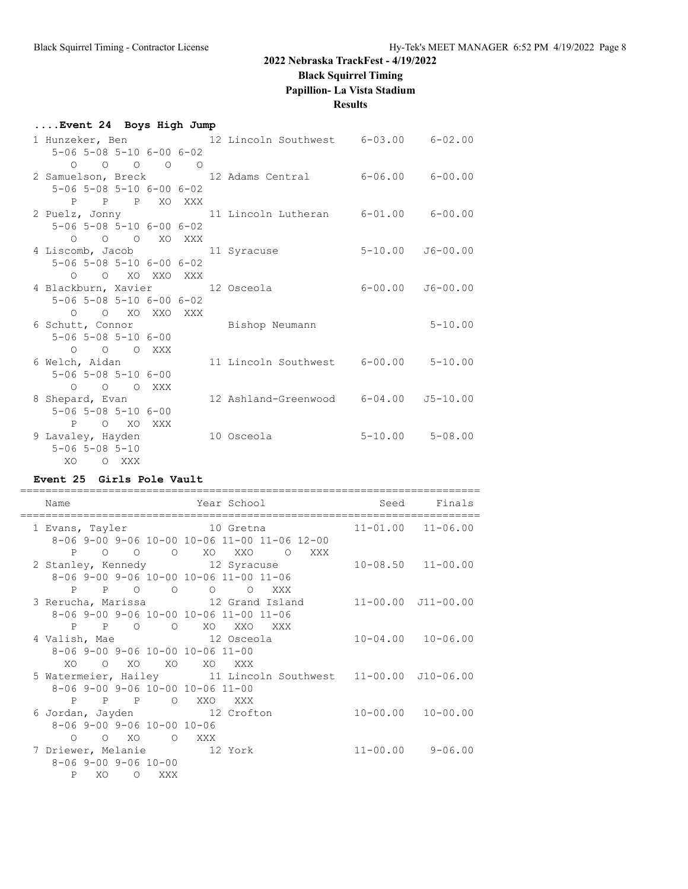#### **Black Squirrel Timing**

**Papillion- La Vista Stadium**

#### **Results**

### **....Event 24 Boys High Jump** 1 Hunzeker, Ben 12 Lincoln Southwest 6-03.00 6-02.00 5-06 5-08 5-10 6-00 6-02 O O O O O 2 Samuelson, Breck 12 Adams Central 6-06.00 6-00.00 5-06 5-08 5-10 6-00 6-02 P P P XO XXX<br>2 Puelz, Jonny 11 Lincoln Lutheran 6-01.00 6-00.00 5-06 5-08 5-10 6-00 6-02 O O O XO XXX 4 Liscomb, Jacob 11 Syracuse 5-10.00 J6-00.00 5-06 5-08 5-10 6-00 6-02 O O XO XXO XXX 4 Blackburn, Xavier 12 Osceola 6-00.00 J6-00.00 5-06 5-08 5-10 6-00 6-02 O O XO XXO XXX<br>6 Schutt, Connor Bishop Neumann 5-10.00 5-06 5-08 5-10 6-00 O O O XXX<br>6 Welch, Aidan 11 Lincoln Southwest 6-00.00 5-10.00 5-06 5-08 5-10 6-00 O O O XXX 8 Shepard, Evan 12 Ashland-Greenwood 6-04.00 J5-10.00 5-06 5-08 5-10 6-00 P O XO XXX 9 Lavaley, Hayden 10 Osceola 5-10.00 5-08.00 5-06 5-08 5-10 XO O XXX

### **Event 25 Girls Pole Vault**

| Name                                                                                              | Year School                                                                     | Seed Finals               |
|---------------------------------------------------------------------------------------------------|---------------------------------------------------------------------------------|---------------------------|
| 1 Evans, Tayler<br>0 0 0 XO XXO<br>$P \qquad \qquad$                                              | 10 Gretna<br>8-06 9-00 9-06 10-00 10-06 11-00 11-06 12-00<br>O XXX              | $11 - 01.00$ $11 - 06.00$ |
| 8-06 9-00 9-06 10-00 10-06 11-00 11-06<br>P P O O                                                 | 2 Stanley, Kennedy 12 Syracuse<br>O O XXX                                       | $10 - 08.50$ $11 - 00.00$ |
| 8-06 9-00 9-06 10-00 10-06 11-00 11-06                                                            | 3 Rerucha, Marissa $12$ Grand Island $11-00.00$ J11-00.00<br>P P O O XO XXO XXX |                           |
| 4 Valish, Mae 12 Osceola<br>$8-06$ 9-00 9-06 10-00 10-06 11-00<br>XO.<br>$\overline{O}$           | xo xo xo xxx                                                                    | $10 - 04.00$ $10 - 06.00$ |
| $8-06$ 9-00 9-06 10-00 10-06 11-00<br>P P P O XXO XXX                                             | 5 Watermeier, Hailey 11 Lincoln Southwest 11-00.00 J10-06.00                    |                           |
| 6 Jordan, Jayden 12 Crofton<br>$8 - 06$ 9-00 9-06 10-00 10-06<br>$0$ $0$ $X0$ $0$ $XXX$           |                                                                                 | $10 - 00.00$ $10 - 00.00$ |
| 7 Driewer, Melanie 12 York<br>$8 - 06$ 9-00 9-06 10-00<br>$\mathbf{P}$<br>XO<br>$\Omega$<br>XXX X |                                                                                 | $11 - 00.00$ 9-06.00      |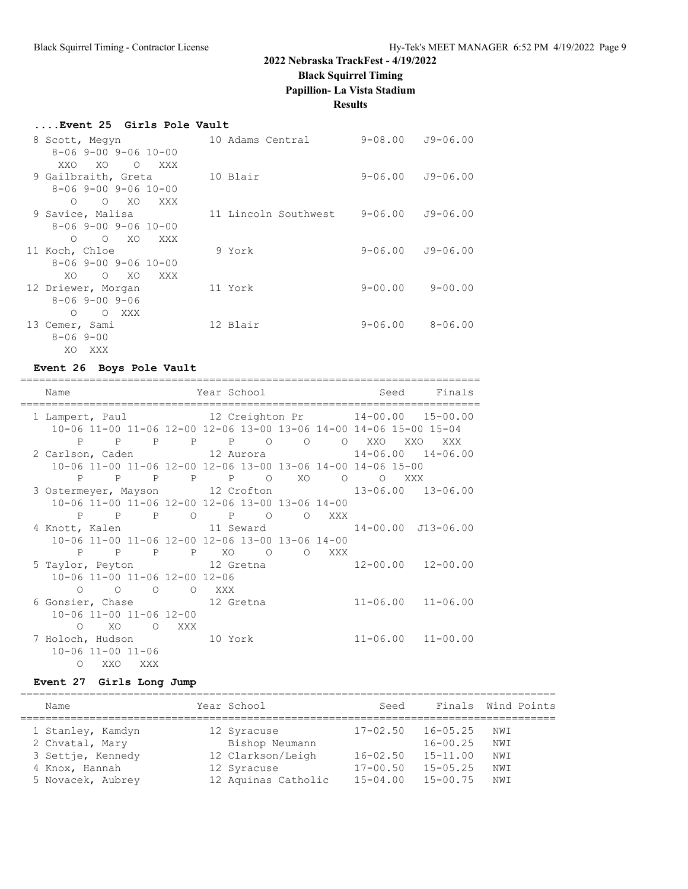## **Black Squirrel Timing**

**Papillion- La Vista Stadium**

**Results**

### **....Event 25 Girls Pole Vault**

| 8 Scott, Megyn               | 10 Adams Central     | 9-08.00     | $J9 - 06.00$ |
|------------------------------|----------------------|-------------|--------------|
| $8 - 069 - 009 - 0610 - 00$  |                      |             |              |
| XO<br>XXO.<br>$\circ$<br>XXX |                      |             |              |
| 9 Gailbraith, Greta          | 10 Blair             | 9-06.00     | J9-06.00     |
| $8 - 06$ 9-00 9-06 10-00     |                      |             |              |
| $O$ XO<br>XXX<br>$\circ$     |                      |             |              |
| 9 Savice, Malisa             | 11 Lincoln Southwest | $9 - 06.00$ | $J9 - 06.00$ |
| $8 - 069 - 009 - 0610 - 00$  |                      |             |              |
| O XO<br>XXX<br>$\circ$       |                      |             |              |
| 11 Koch, Chloe               | 9 York               | $9 - 06.00$ | J9-06.00     |
| $8 - 069 - 009 - 0610 - 00$  |                      |             |              |
| $O$ XO<br>XO.<br>XXX         |                      |             |              |
| 12 Driewer, Morgan           | 11 York              | $9 - 00.00$ | $9 - 00.00$  |
| $8 - 069 - 009 - 06$         |                      |             |              |
| O XXX<br>$\Omega$            |                      |             |              |
| 13 Cemer, Sami               | 12 Blair             | $9 - 06.00$ | $8 - 06.00$  |
| $8 - 069 - 00$               |                      |             |              |
| XO XXX                       |                      |             |              |

## **Event 26 Boys Pole Vault**

| Name                            |                 |                |                | Year School |                                                 |                |                |                                                             | Seed Finals                                                       |
|---------------------------------|-----------------|----------------|----------------|-------------|-------------------------------------------------|----------------|----------------|-------------------------------------------------------------|-------------------------------------------------------------------|
| 1 Lampert, Paul 12 Creighton Pr |                 |                |                |             |                                                 |                |                |                                                             | $14 - 00.00$ $15 - 00.00$                                         |
|                                 |                 |                |                |             |                                                 |                |                |                                                             | 10-06 11-00 11-06 12-00 12-06 13-00 13-06 14-00 14-06 15-00 15-04 |
|                                 | $P$ $P$         | $\mathbb{P}$   |                |             | P P O O O                                       |                |                | XXO                                                         | XXO<br>XXX                                                        |
|                                 |                 |                |                |             |                                                 |                |                |                                                             | 2 Carlson, Caden 12 Aurora 14-06.00 14-06.00                      |
|                                 |                 |                |                |             |                                                 |                |                | 10-06 11-00 11-06 12-00 12-06 13-00 13-06 14-00 14-06 15-00 |                                                                   |
|                                 |                 |                |                |             | P P P P P O                                     | XO             | $\overline{O}$ | $\circ$                                                     | XXX                                                               |
|                                 |                 |                |                |             |                                                 |                |                |                                                             | 3 Ostermeyer, Mayson 12 Crofton 13-06.00 13-06.00                 |
|                                 |                 |                |                |             | 10-06 11-00 11-06 12-00 12-06 13-00 13-06 14-00 |                |                |                                                             |                                                                   |
|                                 |                 | P P P          | $\circ$        |             | $P$ 0                                           | $\overline{O}$ | XXX            |                                                             |                                                                   |
|                                 |                 |                |                |             |                                                 |                |                |                                                             | 4 Knott, Kalen 11 Seward 14-00.00 J13-06.00                       |
|                                 |                 |                |                |             | 10-06 11-00 11-06 12-00 12-06 13-00 13-06 14-00 |                |                |                                                             |                                                                   |
|                                 |                 | P P P          |                |             | PXO O                                           |                | O XXX          |                                                             |                                                                   |
| 5 Taylor, Peyton 12 Gretna      |                 |                |                |             |                                                 |                |                |                                                             | $12 - 00.00$ $12 - 00.00$                                         |
| 10-06 11-00 11-06 12-00 12-06   |                 |                |                |             |                                                 |                |                |                                                             |                                                                   |
|                                 | $\circ$ $\circ$ | $\overline{O}$ | $\overline{O}$ | XXX X       |                                                 |                |                |                                                             |                                                                   |
| 6 Gonsier, Chase 12 Gretna      |                 |                |                |             |                                                 |                |                |                                                             | $11 - 06.00$ $11 - 06.00$                                         |
| 10-06 11-00 11-06 12-00         |                 |                |                |             |                                                 |                |                |                                                             |                                                                   |
| $\circ$                         |                 | $XO$ 0         | <b>XXX</b>     |             |                                                 |                |                |                                                             |                                                                   |
| 7 Holoch, Hudson 10 York        |                 |                |                |             |                                                 |                |                |                                                             | $11 - 06.00$ $11 - 00.00$                                         |
| $10 - 06$ $11 - 00$ $11 - 06$   |                 |                |                |             |                                                 |                |                |                                                             |                                                                   |
|                                 | O XXO XXX       |                |                |             |                                                 |                |                |                                                             |                                                                   |

### **Event 27 Girls Long Jump**

| Name                                                                                             | Year School                                                                              | Seed                                                         |                                                                              | Finals Wind Points              |
|--------------------------------------------------------------------------------------------------|------------------------------------------------------------------------------------------|--------------------------------------------------------------|------------------------------------------------------------------------------|---------------------------------|
| 1 Stanley, Kamdyn<br>2 Chvatal, Mary<br>3 Settje, Kennedy<br>4 Knox, Hannah<br>5 Novacek, Aubrey | 12 Syracuse<br>Bishop Neumann<br>12 Clarkson/Leigh<br>12 Syracuse<br>12 Aquinas Catholic | $17 - 02.50$<br>$16 - 02.50$<br>$17 - 00.50$<br>$15 - 04.00$ | $16 - 05.25$<br>$16 - 00.25$<br>$15 - 11.00$<br>$15 - 05.25$<br>$15 - 00.75$ | NWI<br>NWI<br>NWI<br>NWI<br>NWI |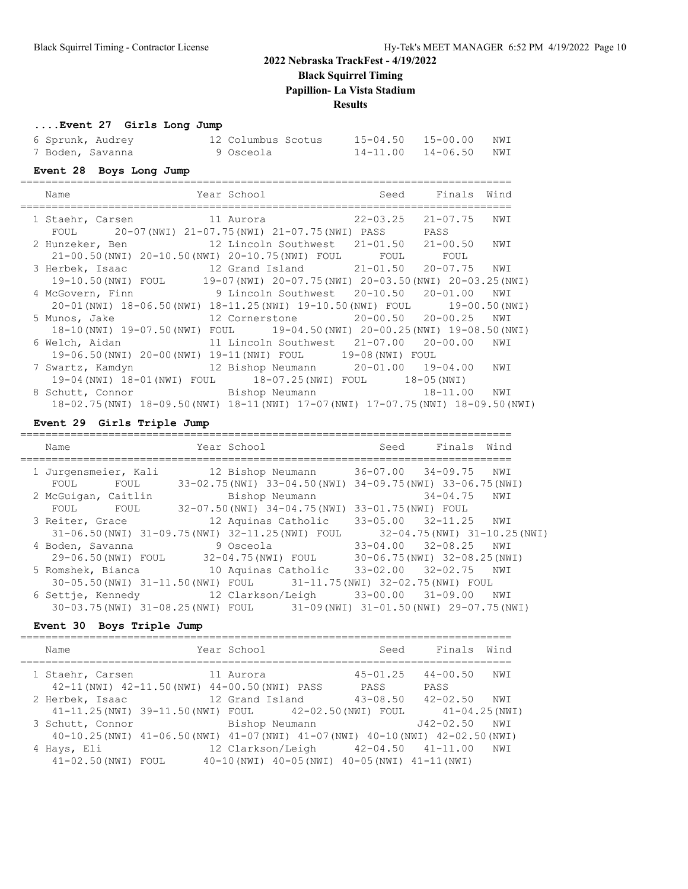**Black Squirrel Timing**

**Papillion- La Vista Stadium**

**Results**

#### **....Event 27 Girls Long Jump**

| 6 Sprunk, Audrey | 12 Columbus Scotus | 15-04.50  15-00.00  NWI |  |
|------------------|--------------------|-------------------------|--|
| 7 Boden, Savanna | 9 Osceola          | 14-11.00 14-06.50 NWI   |  |

#### **Event 28 Boys Long Jump**

| Name                                                                                | Year School |                                       | Seed      | Finals Wind   |     |
|-------------------------------------------------------------------------------------|-------------|---------------------------------------|-----------|---------------|-----|
| 1 Staehr, Carsen<br>11 Aurora                                                       |             |                                       | 22-03.25  | 21-07.75      | NWI |
| FOUL 20-07(NWI) 21-07.75(NWI) 21-07.75(NWI) PASS                                    |             |                                       |           | PASS          |     |
| 2 Hunzeker, Ben 12 Lincoln Southwest 21-01.50                                       |             |                                       |           | 21-00.50      | NWI |
| 21-00.50(NWI) 20-10.50(NWI) 20-10.75(NWI) FOUL                                      |             |                                       | FOUL FOUL |               |     |
| 3 Herbek, Isaac                                                                     |             | 12 Grand Island 21-01.50              |           | 20-07.75 NWI  |     |
| 19-10.50 (NWI) FOUL 19-07 (NWI) 20-07.75 (NWI) 20-03.50 (NWI) 20-03.25 (NWI)        |             |                                       |           |               |     |
| 4 McGovern, Finn                                                                    |             | 9 Lincoln Southwest 20-10.50 20-01.00 |           |               | NWI |
| 20-01(NWI) 18-06.50(NWI) 18-11.25(NWI) 19-10.50(NWI) FOUL                           |             |                                       |           | 19-00.50(NWI) |     |
| 5 Munos, Jake                                                                       |             |                                       |           |               | NWI |
| 18-10 (NWI) 19-07.50 (NWI) FOUL 19-04.50 (NWI) 20-00.25 (NWI) 19-08.50 (NWI)        |             |                                       |           |               |     |
| 6 Welch, Aidan                                                                      |             | 11 Lincoln Southwest 21-07.00         |           | $20 - 00.00$  | NWI |
| 19-06.50(NWI) 20-00(NWI) 19-11(NWI) FOUL 19-08(NWI) FOUL                            |             |                                       |           |               |     |
| 7 Swartz, Kamdyn                                                                    |             | 12 Bishop Neumann 20-01.00 19-04.00   |           |               | NWI |
| 19-04 (NWI) 18-01 (NWI) FOUL 18-07.25 (NWI) FOUL 18-05 (NWI)                        |             |                                       |           |               |     |
| Bishop Neumann<br>8 Schutt, Connor                                                  |             |                                       |           | 18-11.00      | NWI |
| 18-02.75 (NWI) 18-09.50 (NWI) 18-11 (NWI) 17-07 (NWI) 17-07.75 (NWI) 18-09.50 (NWI) |             |                                       |           |               |     |

#### **Event 29 Girls Triple Jump**

============================================================================== Name The Year School Seed Finals Wind ============================================================================== 1 Jurgensmeier, Kali 12 Bishop Neumann 36-07.00 34-09.75 NWI FOUL FOUL 33-02.75(NWI) 33-04.50(NWI) 34-09.75(NWI) 33-06.75(NWI) 2 McGuigan, Caitlin Bishop Neumann 34-04.75 NWI FOUL FOUL 32-07.50(NWI) 34-04.75(NWI) 33-01.75(NWI) FOUL 3 Reiter, Grace 12 Aquinas Catholic 33-05.00 32-11.25 NWI 31-06.50(NWI) 31-09.75(NWI) 32-11.25(NWI) FOUL 32-04.75(NWI) 31-10.25(NWI) 4 Boden, Savanna 9 Osceola 33-04.00 32-08.25 NWI 29-06.50(NWI) FOUL 32-04.75(NWI) FOUL 30-06.75(NWI) 32-08.25(NWI) 5 Romshek, Bianca 10 Aquinas Catholic 33-02.00 32-02.75 NWI 30-05.50(NWI) 31-11.50(NWI) FOUL 31-11.75(NWI) 32-02.75(NWI) FOUL 6 Settje, Kennedy 12 Clarkson/Leigh 33-00.00 31-09.00 NWI 30-03.75(NWI) 31-08.25(NWI) FOUL 31-09(NWI) 31-01.50(NWI) 29-07.75(NWI)

#### **Event 30 Boys Triple Jump**

| Name                               | Year School                                                                                        | Seed                 | Finals Wind                        |     |
|------------------------------------|----------------------------------------------------------------------------------------------------|----------------------|------------------------------------|-----|
| 1 Staehr, Carsen                   | 11 Aurora<br>42-11 (NWI) 42-11.50 (NWI) 44-00.50 (NWI) PASS                                        | $45 - 01.25$<br>PASS | $44 - 00.50$<br>PASS               | NWI |
| 2 Herbek, Isaac                    | 12 Grand Island<br>41-11.25(NWI) 39-11.50(NWI) FOUL 42-02.50(NWI) FOUL                             | $43 - 08.50$         | $42 - 02.50$<br>$41 - 04.25$ (NWI) | NWI |
| 3 Schutt, Connor                   | Bishop Neumann<br>40-10.25 (NWI) 41-06.50 (NWI) 41-07 (NWI) 41-07 (NWI) 40-10 (NWI) 42-02.50 (NWI) |                      | $J42 - 02.50$                      | NWI |
| 4 Hays, Eli<br>41-02.50 (NWI) FOUL | 12 Clarkson/Leigh<br>$40-10$ (NWI) $40-05$ (NWI) $40-05$ (NWI) $41-11$ (NWI)                       |                      | 42-04.50  41-11.00                 | NWI |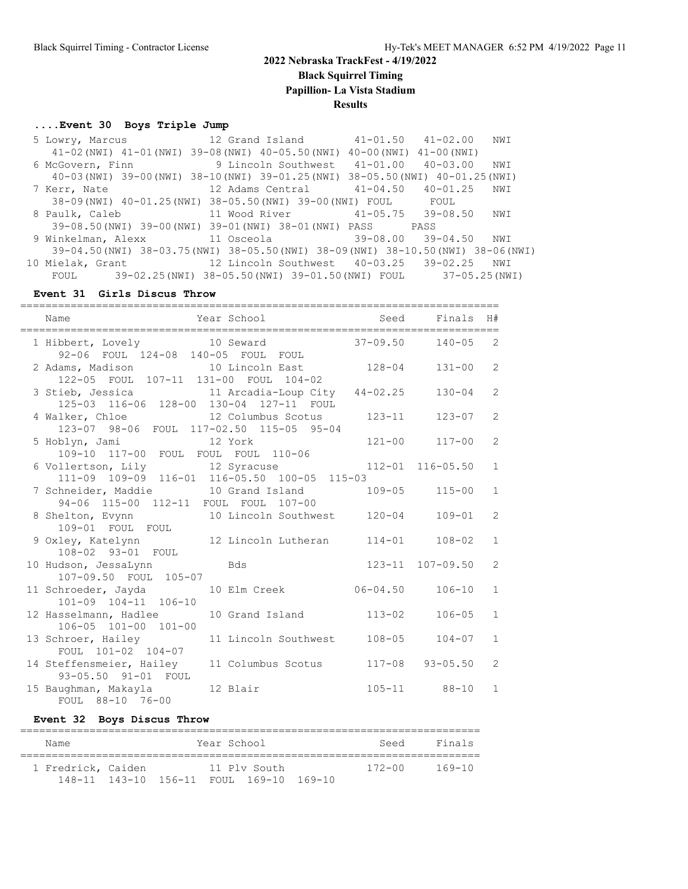## **2022 Nebraska TrackFest - 4/19/2022 Black Squirrel Timing Papillion- La Vista Stadium Results**

#### **....Event 30 Boys Triple Jump**

 5 Lowry, Marcus 12 Grand Island 41-01.50 41-02.00 NWI 41-02(NWI) 41-01(NWI) 39-08(NWI) 40-05.50(NWI) 40-00(NWI) 41-00(NWI) 6 McGovern, Finn 9 Lincoln Southwest 41-01.00 40-03.00 NWI 40-03(NWI) 39-00(NWI) 38-10(NWI) 39-01.25(NWI) 38-05.50(NWI) 40-01.25(NWI) 7 Kerr, Nate 12 Adams Central 41-04.50 40-01.25 NWI 38-09(NWI) 40-01.25(NWI) 38-05.50(NWI) 39-00(NWI) FOUL FOUL 8 Paulk, Caleb 11 Wood River 41-05.75 39-08.50 NWI 39-08.50(NWI) 39-00(NWI) 39-01(NWI) 38-01(NWI) PASS PASS 9 Winkelman, Alexx 11 Osceola 39-08.00 39-04.50 NWI 39-04.50(NWI) 38-03.75(NWI) 38-05.50(NWI) 38-09(NWI) 38-10.50(NWI) 38-06(NWI) 10 Mielak, Grant 12 Lincoln Southwest 40-03.25 39-02.25 NWI FOUL 39-02.25(NWI) 38-05.50(NWI) 39-01.50(NWI) FOUL 37-05.25(NWI)

#### **Event 31 Girls Discus Throw**

| Name                                                                                          | Year School and the Market School | Seed                         | Finals                  | H#             |
|-----------------------------------------------------------------------------------------------|-----------------------------------|------------------------------|-------------------------|----------------|
| 1 Hibbert, Lovely 10 Seward<br>92-06 FOUL 124-08 140-05 FOUL FOUL                             |                                   |                              | $37 - 09.50$ $140 - 05$ | 2              |
| 2 Adams, Madison 10 Lincoln East 128-04<br>122-05 FOUL 107-11 131-00 FOUL 104-02              |                                   |                              | $131 - 00$              | 2              |
| 3 Stieb, Jessica and 11 Arcadia-Loup City 44-02.25<br>125-03 116-06 128-00 130-04 127-11 FOUL |                                   |                              | 130-04                  | 2              |
| 4 Walker, Chloe 12 Columbus Scotus<br>123-07 98-06 FOUL 117-02.50 115-05 95-04                |                                   | $123 - 11$                   | $123 - 07$              | 2              |
|                                                                                               |                                   |                              | $121 - 00$ $117 - 00$   | $\overline{2}$ |
| 6 Vollertson, Lily 12 Syracuse 112-01<br>111-09 109-09 116-01 116-05.50 100-05 115-03         |                                   |                              | $116 - 05.50$           | $\mathbf{1}$   |
| 7 Schneider, Maddie 10 Grand Island<br>94-06 115-00 112-11 FOUL FOUL 107-00                   |                                   |                              | 109-05 115-00           | $\mathbf{1}$   |
| 8 Shelton, Evynn 10 Lincoln Southwest<br>109-01 FOUL FOUL                                     |                                   | $120 - 04$                   | $109 - 01$              | $\overline{2}$ |
| 9 Oxley, Katelynn 12 Lincoln Lutheran<br>108-02 93-01 FOUL                                    |                                   | $114 - 01$                   | $108 - 02$              | $\mathbf{1}$   |
| 10 Hudson, JessaLynn Bds<br>107-09.50 FOUL 105-07                                             |                                   |                              | 123-11 107-09.50        | 2              |
| 11 Schroeder, Jayda<br>101-09 104-11 106-10                                                   |                                   | 10 Elm Creek 06-04.50 106-10 |                         | $\mathbf{1}$   |
| 12 Hasselmann, Hadlee 10 Grand Island<br>106-05 101-00 101-00                                 |                                   | $113 - 02$                   | $106 - 05$              | $\mathbf{1}$   |
| 13 Schroer, Hailey 11 Lincoln Southwest<br>FOUL 101-02 104-07                                 |                                   |                              | $108 - 05$ $104 - 07$   | $\mathbf{1}$   |
| 14 Steffensmeier, Hailey 11 Columbus Scotus<br>93-05.50 91-01 FOUL                            |                                   |                              | $117 - 08$ 93-05.50     | 2              |
| 15 Baughman, Makayla 12 Blair<br>FOUL 88-10 76-00                                             |                                   |                              | $105 - 11$ 88-10        | $\mathbf{1}$   |

#### **Event 32 Boys Discus Throw**

| Name               |  | Year School |                                         | Seed       | Finals |
|--------------------|--|-------------|-----------------------------------------|------------|--------|
| 1 Fredrick, Caiden |  |             | 11 Ply South                            | $172 - 00$ | 169-10 |
|                    |  |             | 148-11 143-10 156-11 FOUL 169-10 169-10 |            |        |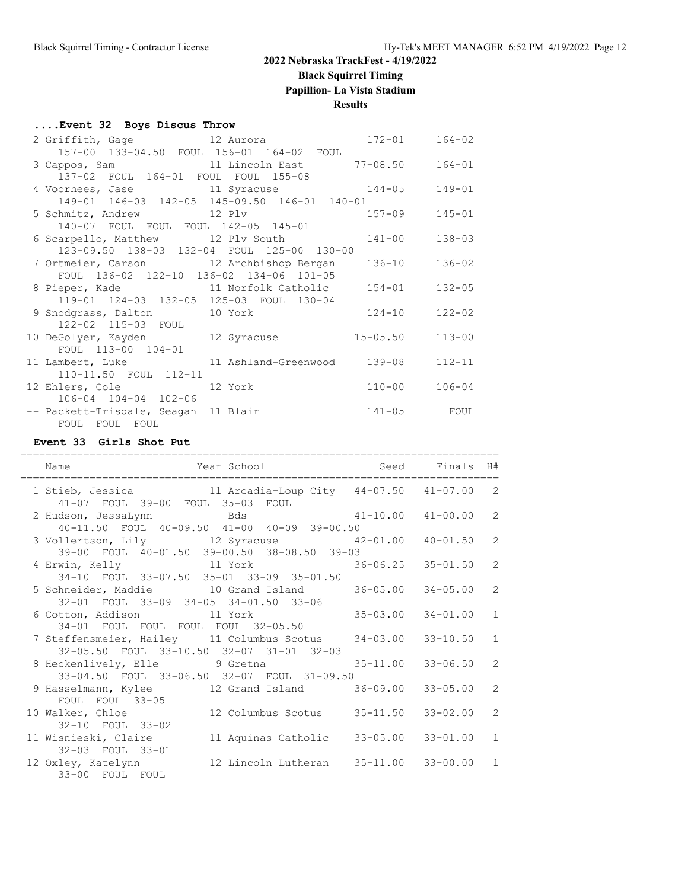**Black Squirrel Timing**

**Papillion- La Vista Stadium**

### **Results**

### **....Event 32 Boys Discus Throw**

| 2 Griffith, Gage 12 Aurora 172-01              |                      |              | 164-02     |
|------------------------------------------------|----------------------|--------------|------------|
| 157-00 133-04.50 FOUL 156-01 164-02 FOUL       |                      |              |            |
|                                                |                      |              | $164 - 01$ |
| 137-02 FOUL 164-01 FOUL FOUL 155-08            |                      |              |            |
| 4 Voorhees, Jase 11 Syracuse 144-05            |                      |              | $149 - 01$ |
| 149-01 146-03 142-05 145-09.50 146-01 140-01   |                      |              |            |
| 5 Schmitz, Andrew 12 Plv 157-09                |                      |              | $145 - 01$ |
| 140-07 FOUL FOUL FOUL 142-05 145-01            |                      |              |            |
| 6 Scarpello, Matthew 12 Plv South 141-00       |                      |              | $138 - 03$ |
| 123-09.50 138-03 132-04 FOUL 125-00 130-00     |                      |              |            |
| 7 Ortmeier, Carson 12 Archbishop Bergan 136-10 |                      |              | $136 - 02$ |
| FOUL 136-02 122-10 136-02 134-06 101-05        |                      |              |            |
| 8 Pieper, Kade 11 Norfolk Catholic 154-01      |                      |              | $132 - 05$ |
| 119-01 124-03 132-05 125-03 FOUL 130-04        |                      |              |            |
| 9 Snodgrass, Dalton 10 York 124-10             |                      |              | $122 - 02$ |
| 122-02 115-03 FOUL                             |                      |              |            |
| 10 DeGolyer, Kayden 12 Syracuse                |                      | $15 - 05.50$ | $113 - 00$ |
| FOUL 113-00 104-01                             |                      |              |            |
| 11 Lambert, Luke                               | 11 Ashland-Greenwood | 139-08       | $112 - 11$ |
| 110-11.50 FOUL 112-11                          |                      |              |            |
| 12 Ehlers, Cole 12 York                        |                      | $110 - 00$   | $106 - 04$ |
| 106-04 104-04 102-06                           |                      |              |            |
| -- Packett-Trisdale, Seagan 11 Blair           |                      | $141 - 05$   | FOUL       |
| FOUL FOUL FOUL                                 |                      |              |            |

#### **Event 33 Girls Shot Put**

| Year School <a> Seed Finals<br/> H#<br/>Name<br/>--------------------------------</a>                                                            | ------------------------------------- |                |
|--------------------------------------------------------------------------------------------------------------------------------------------------|---------------------------------------|----------------|
| 1 Stieb, Jessica 11 Arcadia-Loup City 44-07.50 41-07.00 2<br>41-07 FOUL 39-00 FOUL 35-03 FOUL                                                    |                                       |                |
| 2 Hudson, JessaLynn Machael Bds (41-10.00 41-00.00 2                                                                                             |                                       |                |
| 40-11.50 FOUL 40-09.50 41-00 40-09 39-00.50<br>3 Vollertson, Lily 12 Syracuse 42-01.00 40-01.50 2<br>39-00 FOUL 40-01.50 39-00.50 38-08.50 39-03 |                                       |                |
| 4 Erwin, Kelly 11 York 36-06.25 35-01.50 2<br>34-10 FOUL 33-07.50 35-01 33-09 35-01.50                                                           |                                       |                |
| 5 Schneider, Maddie 10 Grand Island 36-05.00 34-05.00 2<br>32-01 FOUL 33-09 34-05 34-01.50 33-06                                                 |                                       |                |
| $35-03.00$ $34-01.00$ 1<br>6 Cotton, Addison 11 York                                                                                             |                                       |                |
| 34-01 FOUL FOUL FOUL FOUL 32-05.50<br>7 Steffensmeier, Hailey 11 Columbus Scotus 34-03.00 33-10.50 1<br>32-05.50 FOUL 33-10.50 32-07 31-01 32-03 |                                       |                |
| 8 Heckenlively, Elle 9 Gretna<br>33-04.50 FOUL 33-06.50 32-07 FOUL 31-09.50                                                                      | 35-11.00 33-06.50 2                   |                |
| 9 Hasselmann, Kylee 12 Grand Island 36-09.00 33-05.00<br>FOUL FOUL 33-05                                                                         |                                       | $\overline{2}$ |
| 10 Walker, Chloe 12 Columbus Scotus 35-11.50 33-02.00<br>32-10 FOUL 33-02                                                                        |                                       | $\overline{2}$ |
| 11 Wisnieski, Claire 11 Aquinas Catholic                                                                                                         | $33 - 05.00$ $33 - 01.00$             | $\overline{1}$ |
| 32-03 FOUL 33-01<br>33-00 FOUL FOUL                                                                                                              |                                       |                |